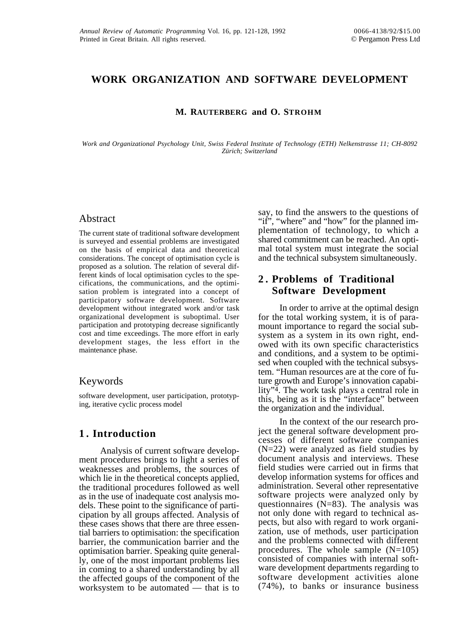## **WORK ORGANIZATION AND SOFTWARE DEVELOPMENT**

#### **M. RAUTERBERG and O. STROHM**

*Work and Organizational Psychology Unit, Swiss Federal Institute of Technology (ETH) Nelkenstrasse 11; CH-8092 Zürich; Switzerland*

### Abstract

The current state of traditional software development is surveyed and essential problems are investigated on the basis of empirical data and theoretical considerations. The concept of optimisation cycle is proposed as a solution. The relation of several different kinds of local optimisation cycles to the specifications, the communications, and the optimisation problem is integrated into a concept of participatory software development. Software development without integrated work and/or task organizational development is suboptimal. User participation and prototyping decrease significantly cost and time exceedings. The more effort in early development stages, the less effort in the maintenance phase.

### Keywords

software development, user participation, prototyping, iterative cyclic process model

## **1 . Introduction**

Analysis of current software development procedures brings to light a series of weaknesses and problems, the sources of which lie in the theoretical concepts applied, the traditional procedures followed as well as in the use of inadequate cost analysis models. These point to the significance of participation by all groups affected. Analysis of these cases shows that there are three essential barriers to optimisation: the specification barrier, the communication barrier and the optimisation barrier. Speaking quite generally, one of the most important problems lies in coming to a shared understanding by all the affected goups of the component of the worksystem to be automated — that is to

say, to find the answers to the questions of "if", "where" and "how" for the planned implementation of technology, to which a shared commitment can be reached. An optimal total system must integrate the social and the technical subsystem simultaneously.

## **2 . Problems of Traditional Software Development**

In order to arrive at the optimal design for the total working system, it is of paramount importance to regard the social subsystem as a system in its own right, endowed with its own specific characteristics and conditions, and a system to be optimised when coupled with the technical subsystem. "Human resources are at the core of future growth and Europe's innovation capability"4. The work task plays a central role in this, being as it is the "interface" between the organization and the individual.

In the context of the our research project the general software development processes of different software companies (N=22) were analyzed as field studies by document analysis and interviews. These field studies were carried out in firms that develop information systems for offices and administration. Several other representative software projects were analyzed only by questionnaires  $(N=83)$ . The analysis was not only done with regard to technical aspects, but also with regard to work organization, use of methods, user participation and the problems connected with different procedures. The whole sample  $(N=105)$ consisted of companies with internal software development departments regarding to software development activities alone (74%), to banks or insurance business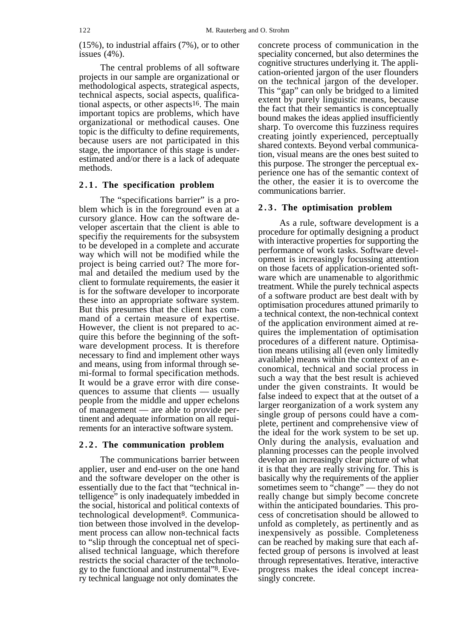(15%), to industrial affairs (7%), or to other issues (4%).

The central problems of all software projects in our sample are organizational or methodological aspects, strategical aspects, technical aspects, social aspects, qualificational aspects, or other aspects16. The main important topics are problems, which have organizational or methodical causes. One topic is the difficulty to define requirements, because users are not participated in this stage, the importance of this stage is underestimated and/or there is a lack of adequate methods.

#### **2.1. The specification problem**

The "specifications barrier" is a problem which is in the foreground even at a cursory glance. How can the software developer ascertain that the client is able to specifiy the requirements for the subsystem to be developed in a complete and accurate way which will not be modified while the project is being carried out? The more formal and detailed the medium used by the client to formulate requirements, the easier it is for the software developer to incorporate these into an appropriate software system. But this presumes that the client has command of a certain measure of expertise. However, the client is not prepared to acquire this before the beginning of the software development process. It is therefore necessary to find and implement other ways and means, using from informal through semi-formal to formal specification methods. It would be a grave error with dire consequences to assume that clients — usually people from the middle and upper echelons of management — are able to provide pertinent and adequate information on all requirements for an interactive software system.

#### **2.2. The communication problem**

The communications barrier between applier, user and end-user on the one hand and the software developer on the other is essentially due to the fact that "technical intelligence" is only inadequately imbedded in the social, historical and political contexts of technological development8. Communication between those involved in the development process can allow non-technical facts to "slip through the conceptual net of specialised technical language, which therefore restricts the social character of the technology to the functional and instrumental"8. Every technical language not only dominates the

concrete process of communication in the speciality concerned, but also determines the cognitive structures underlying it. The application-oriented jargon of the user flounders on the technical jargon of the developer. This "gap" can only be bridged to a limited extent by purely linguistic means, because the fact that their semantics is conceptually bound makes the ideas applied insufficiently sharp. To overcome this fuzziness requires creating jointly experienced, perceptually shared contexts. Beyond verbal communication, visual means are the ones best suited to this purpose. The stronger the perceptual experience one has of the semantic context of the other, the easier it is to overcome the communications barrier.

#### **2.3. The optimisation problem**

As a rule, software development is a procedure for optimally designing a product with interactive properties for supporting the performance of work tasks. Software development is increasingly focussing attention on those facets of application-oriented software which are unamenable to algorithmic treatment. While the purely technical aspects of a software product are best dealt with by optimisation procedures attuned primarily to a technical context, the non-technical context of the application environment aimed at requires the implementation of optimisation procedures of a different nature. Optimisation means utilising all (even only limitedly available) means within the context of an economical, technical and social process in such a way that the best result is achieved under the given constraints. It would be false indeed to expect that at the outset of a larger reorganization of a work system any single group of persons could have a complete, pertinent and comprehensive view of the ideal for the work system to be set up. Only during the analysis, evaluation and planning processes can the people involved develop an increasingly clear picture of what it is that they are really striving for. This is basically why the requirements of the applier sometimes seem to "change" — they do not really change but simply become concrete within the anticipated boundaries. This process of concretisation should be allowed to unfold as completely, as pertinently and as inexpensively as possible. Completeness can be reached by making sure that each affected group of persons is involved at least through representatives. Iterative, interactive progress makes the ideal concept increasingly concrete.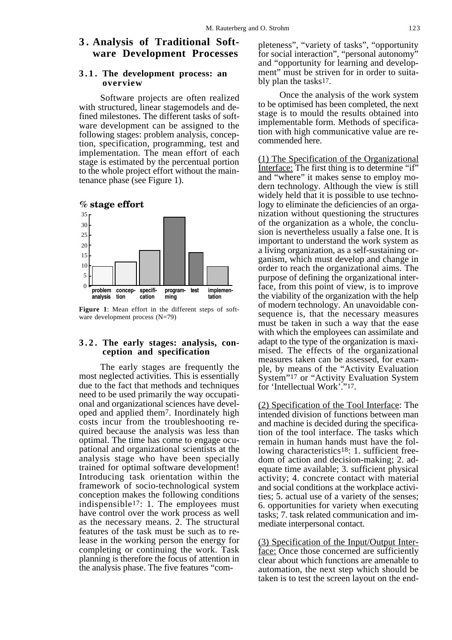## **3 . Analysis of Traditional Software Development Processes**

#### **3.1. The development process: an overview**

Software projects are often realized with structured, linear stagemodels and defined milestones. The different tasks of software development can be assigned to the following stages: problem analysis, conception, specification, programming, test and implementation. The mean effort of each stage is estimated by the percentual portion to the whole project effort without the maintenance phase (see Figure 1).





**Figure 1**: Mean effort in the different steps of software development process (N=79)

#### **3 . 2 . The early stages: analysis, conception and specification**

The early stages are frequently the most neglected activities. This is essentially due to the fact that methods and techniques need to be used primarily the way occupational and organizational sciences have developed and applied them7. Inordinately high costs incur from the troubleshooting required because the analysis was less than optimal. The time has come to engage ocupational and organizational scientists at the analysis stage who have been specially trained for optimal software development! Introducing task orientation within the framework of socio-technological system conception makes the following conditions indispensible17: 1. The employees must have control over the work process as well as the necessary means. 2. The structural features of the task must be such as to release in the working person the energy for completing or continuing the work. Task planning is therefore the focus of attention in the analysis phase. The five features "com-

pleteness", "variety of tasks", "opportunity for social interaction", "personal autonomy" and "opportunity for learning and development" must be striven for in order to suitably plan the tasks17.

Once the analysis of the work system to be optimised has been completed, the next stage is to mould the results obtained into implementable form. Methods of specification with high communicative value are recommended here.

(1) The Specification of the Organizational Interface: The first thing is to determine "if" and "where" it makes sense to employ modern technology. Although the view is still widely held that it is possible to use technology to eliminate the deficiencies of an organization without questioning the structures of the organization as a whole, the conclusion is nevertheless usually a false one. It is important to understand the work system as a living organization, as a self-sustaining organism, which must develop and change in order to reach the organizational aims. The purpose of defining the organizational interface, from this point of view, is to improve the viability of the organization with the help of modern technology. An unavoidable consequence is, that the necessary measures must be taken in such a way that the ease with which the employees can assimilate and adapt to the type of the organization is maximised. The effects of the organizational measures taken can be assessed, for example, by means of the "Activity Evaluation System"17 or "Activity Evaluation System for 'Intellectual Work'."17.

(2) Specification of the Tool Interface: The intended division of functions between man and machine is decided during the specification of the tool interface. The tasks which remain in human hands must have the following characteristics<sup>18</sup>: 1. sufficient freedom of action and decision-making; 2. adequate time available; 3. sufficient physical activity; 4. concrete contact with material and social conditions at the workplace activities; 5. actual use of a variety of the senses; 6. opportunities for variety when executing tasks; 7. task related communication and immediate interpersonal contact.

(3) Specification of the Input/Output Interface: Once those concerned are sufficiently clear about which functions are amenable to automation, the next step which should be taken is to test the screen layout on the end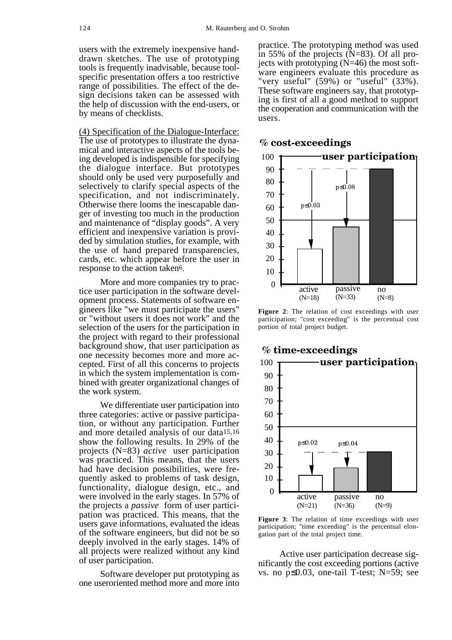users with the extremely inexpensive handdrawn sketches. The use of prototyping tools is frequently inadvisable, because toolspecific presentation offers a too restrictive range of possibilities. The effect of the design decisions taken can be assessed with the help of discussion with the end-users, or by means of checklists.

(4) Specification of the Dialogue-Interface: The use of prototypes to illustrate the dynamical and interactive aspects of the tools being developed is indispensible for specifying the dialogue interface. But prototypes should only be used very purposefully and selectively to clarify special aspects of the specification, and not indiscriminately. Otherwise there looms the inescapable danger of investing too much in the production and maintenance of "display goods". A very efficient and inexpensive variation is provided by simulation studies, for example, with the use of hand prepared transparencies, cards, etc. which appear before the user in response to the action taken6.

More and more companies try to practice user participation in the software development process. Statements of software engineers like "we must participate the users" or "without users it does not work" and the selection of the users for the participation in the project with regard to their professional background show, that user participation as one necessity becomes more and more accepted. First of all this concerns to projects in which the system implementation is combined with greater organizational changes of the work system.

We differentiate user participation into three categories: active or passive participation, or without any participation. Further and more detailed analysis of our data15,16 show the following results. In 29% of the projects (N=83) *active* user participation was practiced. This means, that the users had have decision possibilities, were frequently asked to problems of task design, functionality, dialogue design, etc., and were involved in the early stages. In 57% of the projects a *passive* form of user participation was practiced. This means, that the users gave informations, evaluated the ideas of the software engineers, but did not be so deeply involved in the early stages. 14% of all projects were realized without any kind of user participation.

Software developer put prototyping as one useroriented method more and more into

practice. The prototyping method was used in 55% of the projects (N=83). Of all projects with prototyping  $(N=46)$  the most software engineers evaluate this procedure as "very useful" (59%) or "useful" (33%). These software engineers say, that prototyping is first of all a good method to support the cooperation and communication with the users.



#### **% cost-exceedings**

**Figure 2**: The relation of cost exceedings with user participation; "cost exceeding" is the percentual cost portion of total project budget.



## **% time-exceedings**

Figure 3: The relation of time exceedings with user participation; "time exceeding" is the percentual elongation part of the total project time.

Active user participation decrease significantly the cost exceeding portions (active vs. no p≤0.03, one-tail T-test; N=59; see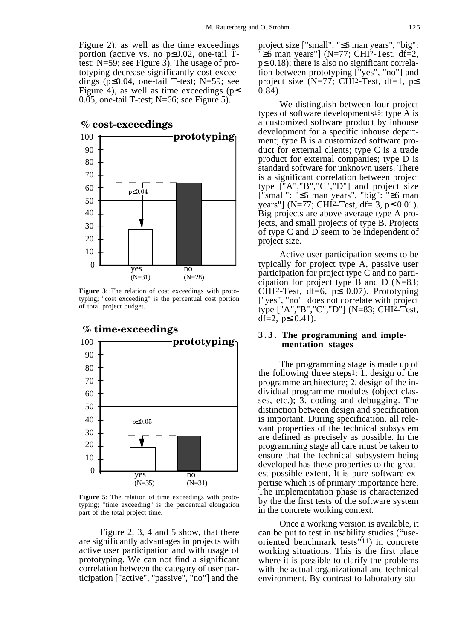Figure 2), as well as the time exceedings portion (active vs. no p≤0.02, one-tail Ttest; N=59; see Figure 3). The usage of prototyping decrease significantly cost exceedings (p≤0.04, one-tail T-test; N=59; see Figure 4), as well as time exceedings ( $p \leq$ 0.05, one-tail T-test; N=66; see Figure 5).

 $\theta$ 10 20 30 40 60 70 80 90 100 50 yes (N=31) **prototyping** no (N=28) p≤0.04 **% cost-exceedings**

**Figure 3**: The relation of cost exceedings with prototyping; "cost exceeding" is the percentual cost portion of total project budget.



**Figure 5**: The relation of time exceedings with prototyping; "time exceeding" is the percentual elongation part of the total project time.

Figure 2, 3, 4 and 5 show, that there are significantly advantages in projects with active user participation and with usage of prototyping. We can not find a significant correlation between the category of user participation ["active", "passive", "no"] and the

project size ["small": "≤5 man years", "big":  $\overline{P} \geq 6$  man years"] (N=77; CHI<sup>2</sup>-Test, df=2, p≤ 0.18); there is also no significant correlation between prototyping ["yes", "no"] and project size  $(N=77)$ ; CHI2-Test, df=1, p 0.84).

We distinguish between four project types of software developments15: type A is a customized software product by inhouse development for a specific inhouse department; type B is a customized software product for external clients; type C is a trade product for external companies; type D is standard software for unknown users. There is a significant correlation between project type ["A","B","C","D"] and project size ["small": "≤5 man years", "big": "≥6 man years"] (N=77; CHI2-Test, df= 3,  $p \le 0.01$ ). Big projects are above average type A projects, and small projects of type B. Projects of type C and D seem to be independent of project size.

Active user participation seems to be typically for project type A, passive user participation for project type C and no participation for project type B and D (N=83; CHI2-Test, df=6,  $p \le 0.07$ ). Prototyping ["yes", "no"] does not correlate with project type ["A","B","C","D"] (N=83; CHI2-Test, df=2,  $p≤ 0.41$ ).

#### **3.3. The programming and implementation stages**

The programming stage is made up of the following three steps1: 1. design of the programme architecture; 2. design of the individual programme modules (object classes, etc.); 3. coding and debugging. The distinction between design and specification is important. During specification, all relevant properties of the technical subsystem are defined as precisely as possible. In the programming stage all care must be taken to ensure that the technical subsystem being developed has these properties to the greatest possible extent. It is pure software expertise which is of primary importance here. The implementation phase is characterized by the the first tests of the software system in the concrete working context.

Once a working version is available, it can be put to test in usability studies ("useoriented benchmark tests"11) in concrete working situations. This is the first place where it is possible to clarify the problems with the actual organizational and technical environment. By contrast to laboratory stu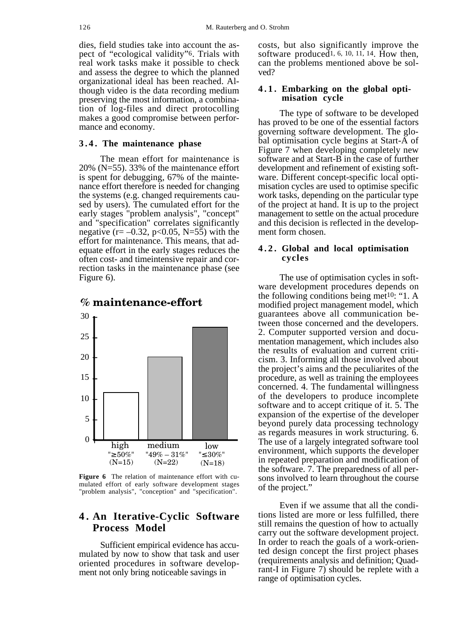dies, field studies take into account the aspect of "ecological validity"6. Trials with real work tasks make it possible to check and assess the degree to which the planned organizational ideal has been reached. Although video is the data recording medium preserving the most information, a combination of log-files and direct protocolling makes a good compromise between performance and economy.

#### **3.4. The maintenance phase**

The mean effort for maintenance is 20% (N=55). 33% of the maintenance effort is spent for debugging, 67% of the maintenance effort therefore is needed for changing the systems (e.g. changed requirements caused by users). The cumulated effort for the early stages "problem analysis", "concept" and "specification" correlates significantly negative ( $r = -0.32$ ,  $p < 0.05$ , N=55) with the effort for maintenance. This means, that adequate effort in the early stages reduces the often cost- and timeintensive repair and correction tasks in the maintenance phase (see Figure 6).



### **% maintenance-effort**

**Figure 6** The relation of maintenance effort with cumulated effort of early software development stages "problem analysis", "conception" and "specification".

## **4 . An Iterative-Cyclic Software Process Model**

Sufficient empirical evidence has accumulated by now to show that task and user oriented procedures in software development not only bring noticeable savings in

costs, but also significantly improve the software produced<sup>1, 6, 10, 11, 14</sup>. How then, can the problems mentioned above be solved?

#### **4.1. Embarking on the global optimisation cycle**

The type of software to be developed has proved to be one of the essential factors governing software development. The global optimisation cycle begins at Start-A of Figure 7 when developing completely new software and at Start-B in the case of further development and refinement of existing software. Different concept-specific local optimisation cycles are used to optimise specific work tasks, depending on the particular type of the project at hand. It is up to the project management to settle on the actual procedure and this decision is reflected in the development form chosen.

#### **4.2. Global and local optimisation cycles**

The use of optimisation cycles in software development procedures depends on the following conditions being met10: "1. A modified project management model, which guarantees above all communication between those concerned and the developers. 2. Computer supported version and documentation management, which includes also the results of evaluation and current criticism. 3. Informing all those involved about the project's aims and the peculiarites of the procedure, as well as training the employees concerned. 4. The fundamental willingness of the developers to produce incomplete software and to accept critique of it. 5. The expansion of the expertise of the developer beyond purely data processing technology as regards measures in work structuring. 6. The use of a largely integrated software tool environment, which supports the developer in repeated preparation and modification of the software. 7. The preparedness of all persons involved to learn throughout the course of the project."

Even if we assume that all the conditions listed are more or less fulfilled, there still remains the question of how to actually carry out the software development project. In order to reach the goals of a work-oriented design concept the first project phases (requirements analysis and definition; Quadrant-I in Figure 7) should be replete with a range of optimisation cycles.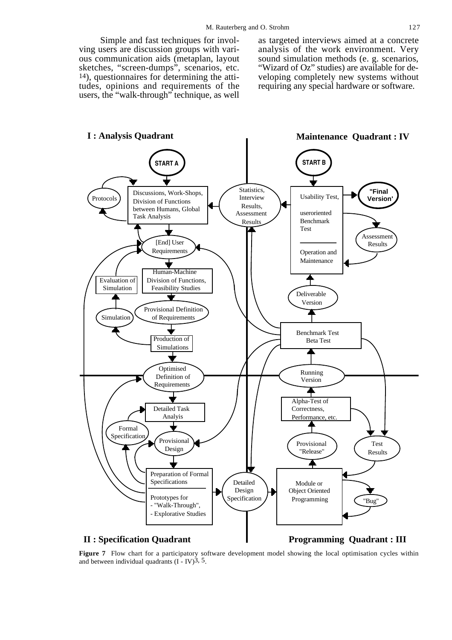Simple and fast techniques for involving users are discussion groups with various communication aids (metaplan, layout sketches, "screen-dumps", scenarios, etc. 14), questionnaires for determining the attitudes, opinions and requirements of the users, the "walk-through" technique, as well

as targeted interviews aimed at a concrete analysis of the work environment. Very sound simulation methods (e. g. scenarios, "Wizard of Oz" studies) are available for de-

veloping completely new systems without requiring any special hardware or software.



**Figure 7** Flow chart for a participatory software development model showing the local optimisation cycles within and between individual quadrants  $(I - IV)<sup>3</sup>$ , 5.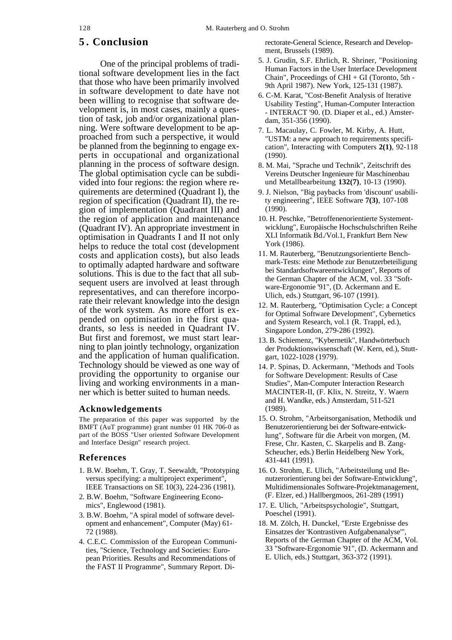## **5 . Conclusion**

One of the principal problems of traditional software development lies in the fact that those who have been primarily involved in software development to date have not been willing to recognise that software development is, in most cases, mainly a question of task, job and/or organizational planning. Were software development to be approached from such a perspective, it would be planned from the beginning to engage experts in occupational and organizational planning in the process of software design. The global optimisation cycle can be subdivided into four regions: the region where requirements are determined (Quadrant I), the region of specification (Quadrant II), the region of implementation (Quadrant III) and the region of application and maintenance (Quadrant IV). An appropriate investment in optimisation in Quadrants I and II not only helps to reduce the total cost (development costs and application costs), but also leads to optimally adapted hardware and software solutions. This is due to the fact that all subsequent users are involved at least through representatives, and can therefore incorporate their relevant knowledge into the design of the work system. As more effort is expended on optimisation in the first quadrants, so less is needed in Quadrant IV. But first and foremost, we must start learning to plan jointly technology, organization and the application of human qualification. Technology should be viewed as one way of providing the opportunity to organise our living and working environments in a manner which is better suited to human needs.

#### **Acknowledgements**

The preparation of this paper was supported by the BMFT (AuT programme) grant number 01 HK 706-0 as part of the BOSS "User oriented Software Development and Interface Design" research project.

#### **References**

- 1. B.W. Boehm, T. Gray, T. Seewaldt, "Prototyping versus specifying: a multiproject experiment", IEEE Transactions on SE 10(3), 224-236 (1981).
- 2. B.W. Boehm, "Software Engineering Economics", Englewood (1981).
- 3. B.W. Boehm, "A spiral model of software development and enhancement", Computer (May) 61- 72 (1988).
- 4. C.E.C. Commission of the European Communities, "Science, Technology and Societies: European Priorities. Results and Recommendations of the FAST II Programme", Summary Report. Di-

rectorate-General Science, Research and Development, Brussels (1989).

- 5. J. Grudin, S.F. Ehrlich, R. Shriner, "Positioning Human Factors in the User Interface Development Chain", Proceedings of CHI + GI (Toronto, 5th - 9th April 1987). New York, 125-131 (1987).
- 6. C-M. Karat, "Cost-Benefit Analysis of Iterative Usability Testing", Human-Computer Interaction - INTERACT '90. (D. Diaper et al., ed.) Amsterdam, 351-356 (1990).
- 7. L. Macaulay, C. Fowler, M. Kirby, A. Hutt, "USTM: a new approach to requirements specification", Interacting with Computers **2(1)**, 92-118 (1990).
- 8. M. Mai, "Sprache und Technik", Zeitschrift des Vereins Deutscher Ingenieure für Maschinenbau und Metallbearbeitung **132(7)**, 10-13 (1990).
- 9. J. Nielson, "Big paybacks from 'discount' usability engineering", IEEE Software **7(3)**, 107-108 (1990).
- 10. H. Peschke, "Betroffenenorientierte Systementwicklung", Europäische Hochschulschriften Reihe XLI Informatik Bd./Vol.1, Frankfurt Bern New York (1986).
- 11. M. Rauterberg, "Benutzungsorientierte Benchmark-Tests: eine Methode zur Benutzerbeteiligung bei Standardsoftwareentwicklungen", Reports of the German Chapter of the ACM, vol. 33 "Software-Ergonomie '91", (D. Ackermann and E. Ulich, eds.) Stuttgart, 96-107 (1991).
- 12. M. Rauterberg, "Optimisation Cycle: a Concept for Optimal Software Development", Cybernetics and System Research, vol.1 (R. Trappl, ed.), Singapore London, 279-286 (1992).
- 13. B. Schiemenz, "Kybernetik", Handwörterbuch der Produktionswissenschaft (W. Kern, ed.), Stuttgart, 1022-1028 (1979).
- 14. P. Spinas, D. Ackermann, "Methods and Tools for Software Development: Results of Case Studies", Man-Computer Interaction Research MACINTER-II, (F. Klix, N. Streitz, Y. Waern and H. Wandke, eds.) Amsterdam, 511-521 (1989).
- 15. O. Strohm, "Arbeitsorganisation, Methodik und Benutzerorientierung bei der Software-entwicklung", Software für die Arbeit von morgen, (M. Frese, Chr. Kasten, C. Skarpelis and B. Zang-Scheucher, eds.) Berlin Heidelberg New York, 431-441 (1991).
- 16. O. Strohm, E. Ulich, "Arbeitsteilung und Benutzerorientierung bei der Software-Entwicklung", Multidimensionales Software-Projektmanagement, (F. Elzer, ed.) Hallbergmoos, 261-289 (1991)
- 17. E. Ulich, "Arbeitspsychologie", Stuttgart, Poeschel (1991).
- 18. M. Zölch, H. Dunckel, "Erste Ergebnisse des Einsatzes der 'Kontrastiven Aufgabenanalyse'", Reports of the German Chapter of the ACM, Vol. 33 "Software-Ergonomie '91", (D. Ackermann and E. Ulich, eds.) Stuttgart, 363-372 (1991).